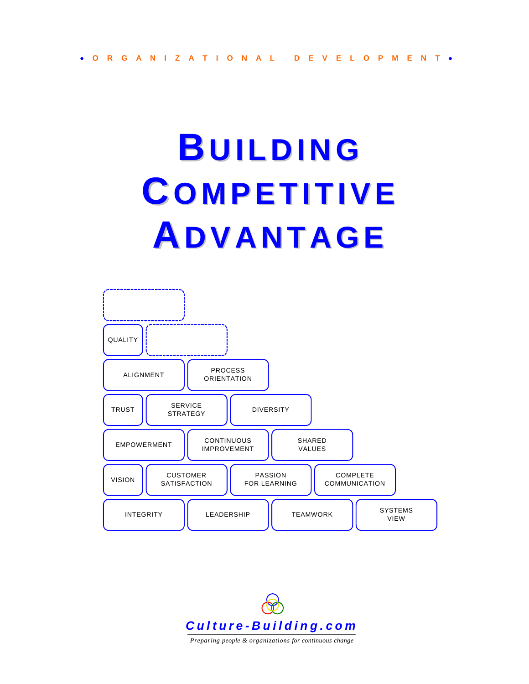# **BUILDING CO M PETITIVE ADVANTAGE**





*Preparing people & organizations for continuous change*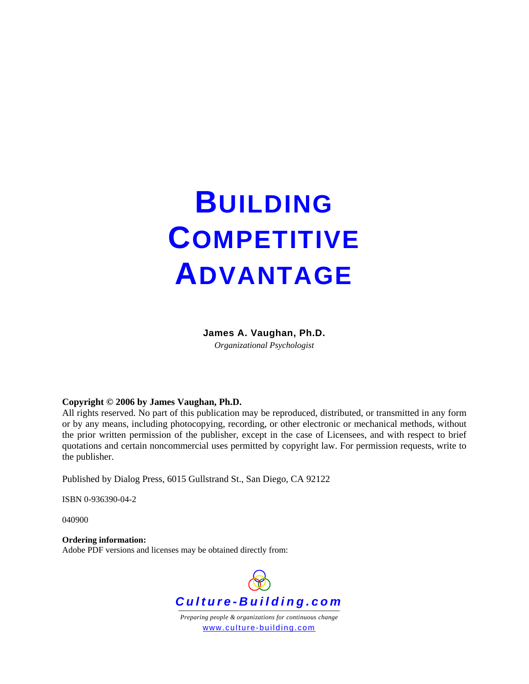## **BUILDING COMPETITIVE ADVANTAGE**

#### **James A. Vaughan, Ph.D.**

*Organizational Psychologist*

#### **Copyright © 2006 by James Vaughan, Ph.D.**

All rights reserved. No part of this publication may be reproduced, distributed, or transmitted in any form or by any means, including photocopying, recording, or other electronic or mechanical methods, without the prior written permission of the publisher, except in the case of Licensees, and with respect to brief quotations and certain noncommercial uses permitted by copyright law. For permission requests, write to the publisher.

Published by Dialog Press, 6015 Gullstrand St., San Diego, CA 92122

ISBN 0-936390-04-2

040900

#### **Ordering information:**

Adobe PDF versions and licenses may be obtained directly from:

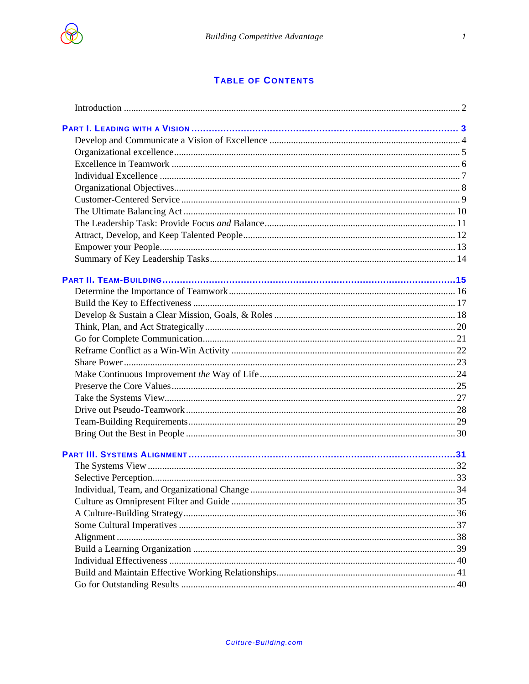

#### **TABLE OF CONTENTS**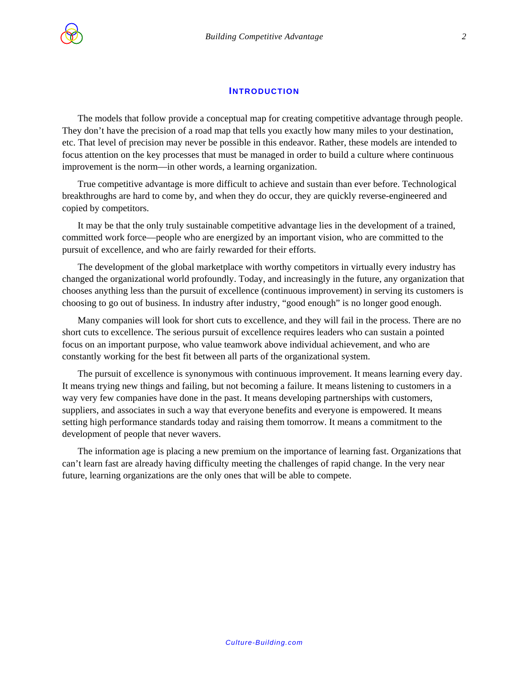<span id="page-3-0"></span>

#### **INTRODUCTION**

The models that follow provide a conceptual map for creating competitive advantage through people. They don't have the precision of a road map that tells you exactly how many miles to your destination, etc. That level of precision may never be possible in this endeavor. Rather, these models are intended to focus attention on the key processes that must be managed in order to build a culture where continuous improvement is the norm—in other words, a learning organization.

True competitive advantage is more difficult to achieve and sustain than ever before. Technological breakthroughs are hard to come by, and when they do occur, they are quickly reverse-engineered and copied by competitors.

It may be that the only truly sustainable competitive advantage lies in the development of a trained, committed work force—people who are energized by an important vision, who are committed to the pursuit of excellence, and who are fairly rewarded for their efforts.

The development of the global marketplace with worthy competitors in virtually every industry has changed the organizational world profoundly. Today, and increasingly in the future, any organization that chooses anything less than the pursuit of excellence (continuous improvement) in serving its customers is choosing to go out of business. In industry after industry, "good enough" is no longer good enough.

Many companies will look for short cuts to excellence, and they will fail in the process. There are no short cuts to excellence. The serious pursuit of excellence requires leaders who can sustain a pointed focus on an important purpose, who value teamwork above individual achievement, and who are constantly working for the best fit between all parts of the organizational system.

The pursuit of excellence is synonymous with continuous improvement. It means learning every day. It means trying new things and failing, but not becoming a failure. It means listening to customers in a way very few companies have done in the past. It means developing partnerships with customers, suppliers, and associates in such a way that everyone benefits and everyone is empowered. It means setting high performance standards today and raising them tomorrow. It means a commitment to the development of people that never wavers.

The information age is placing a new premium on the importance of learning fast. Organizations that can't learn fast are already having difficulty meeting the challenges of rapid change. In the very near future, learning organizations are the only ones that will be able to compete.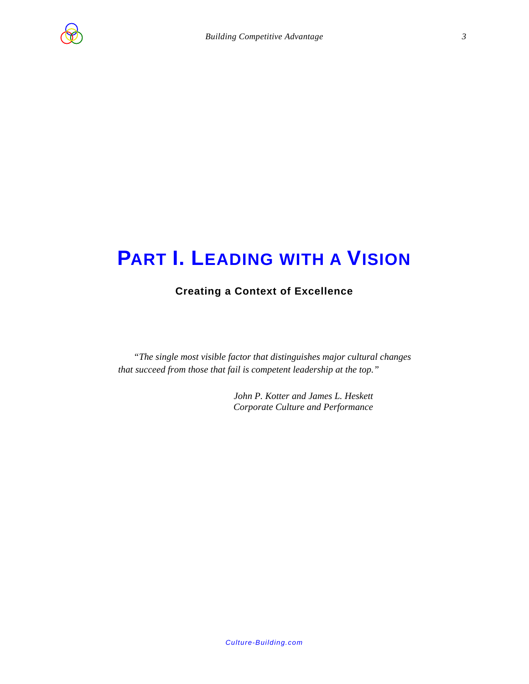<span id="page-4-0"></span>

### **PART I. LEADING WITH A VISION**

#### **Creating a Context of Excellence**

*"The single most visible factor that distinguishes major cultural changes that succeed from those that fail is competent leadership at the top."* 

> *John P. Kotter and James L. Heskett Corporate Culture and Performance*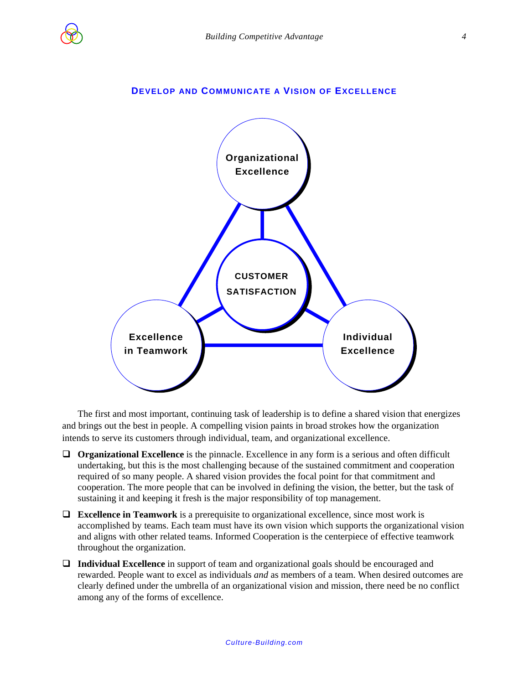<span id="page-5-0"></span>

#### **DEVELOP AND COMMUNICATE A VISION OF EXCELLENCE**



The first and most important, continuing task of leadership is to define a shared vision that energizes and brings out the best in people. A compelling vision paints in broad strokes how the organization intends to serve its customers through individual, team, and organizational excellence.

- **Organizational Excellence** is the pinnacle. Excellence in any form is a serious and often difficult undertaking, but this is the most challenging because of the sustained commitment and cooperation required of so many people. A shared vision provides the focal point for that commitment and cooperation. The more people that can be involved in defining the vision, the better, but the task of sustaining it and keeping it fresh is the major responsibility of top management.
- **Excellence in Teamwork** is a prerequisite to organizational excellence, since most work is accomplished by teams. Each team must have its own vision which supports the organizational vision and aligns with other related teams. Informed Cooperation is the centerpiece of effective teamwork throughout the organization.
- **Individual Excellence** in support of team and organizational goals should be encouraged and rewarded. People want to excel as individuals *and* as members of a team. When desired outcomes are clearly defined under the umbrella of an organizational vision and mission, there need be no conflict among any of the forms of excellence.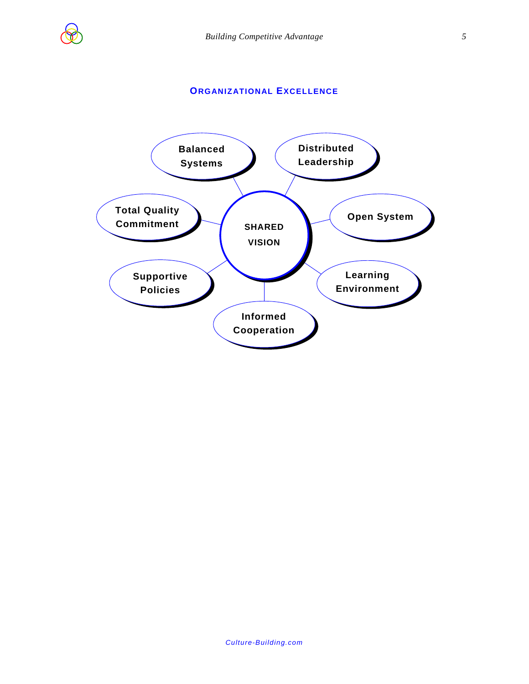

#### **ORGANIZATIONAL EXCELLENCE**

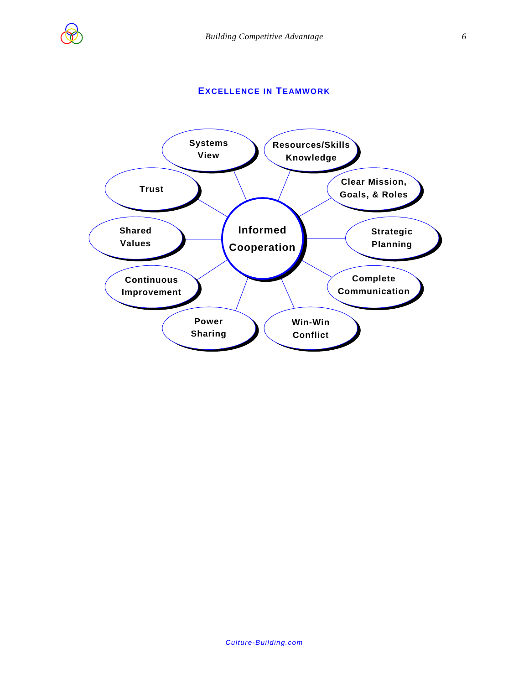<span id="page-7-0"></span>

#### **EXCELLENCE IN TEAMWORK**

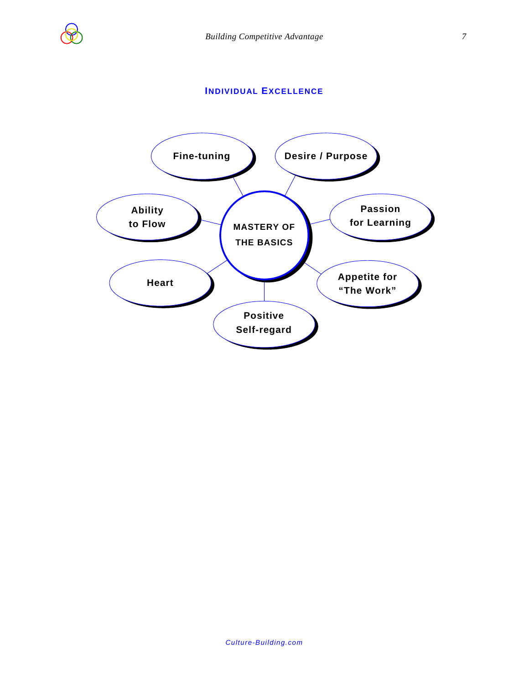<span id="page-8-0"></span>

#### **INDIVIDUAL EXCELLENCE**

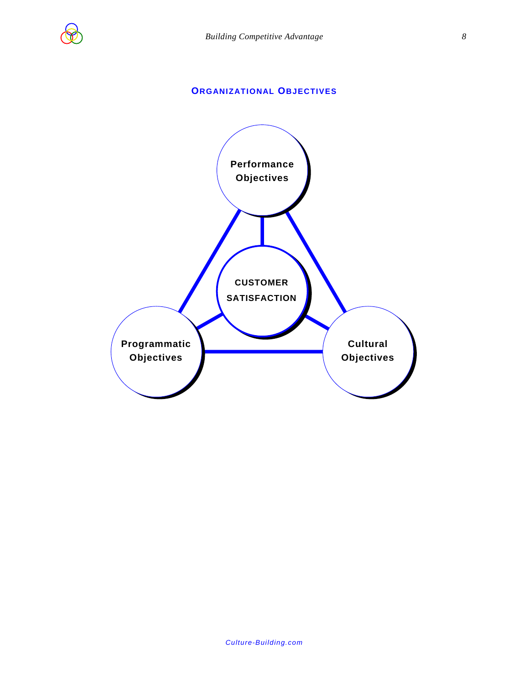<span id="page-9-0"></span>

#### **ORGANIZATIONAL OBJECTIVES**

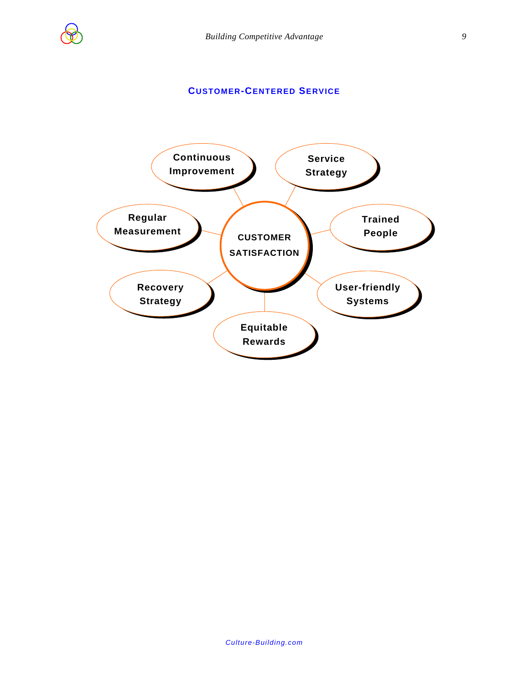<span id="page-10-0"></span>

#### **CUSTOMER-CENTERED SERVICE**

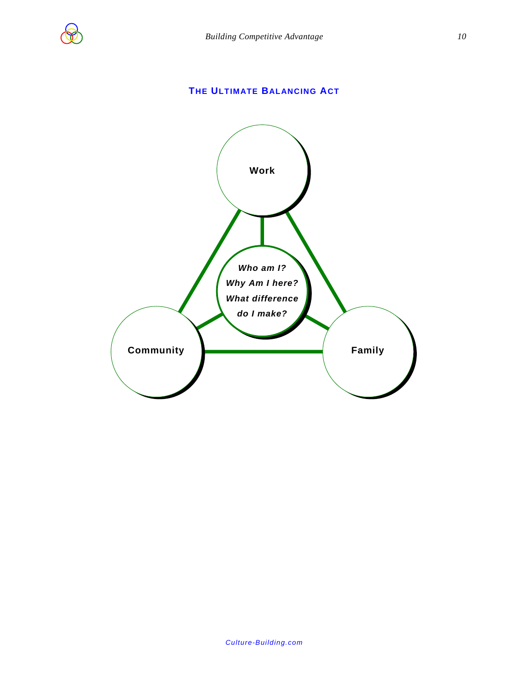<span id="page-11-0"></span>

#### **THE ULTIMATE BALANCING ACT**

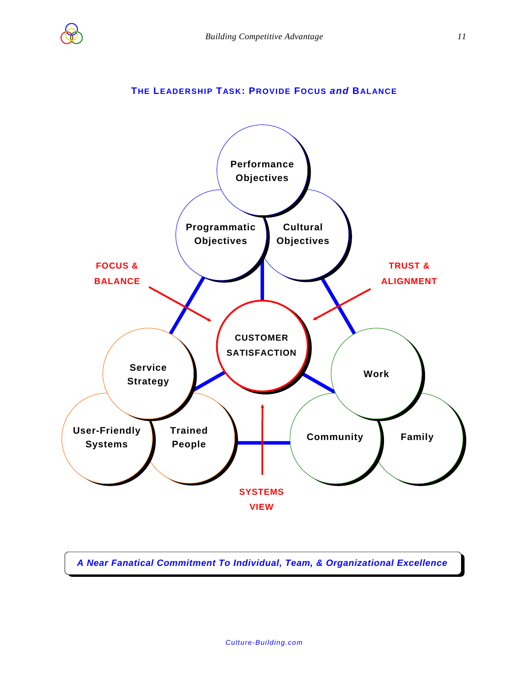<span id="page-12-0"></span>

#### **THE LEADERSHIP TASK: PROVIDE FOCUS** *and* **BALANCE**



*A Near Fanatical Commitment To Individual, Team, & Organizational Excellence*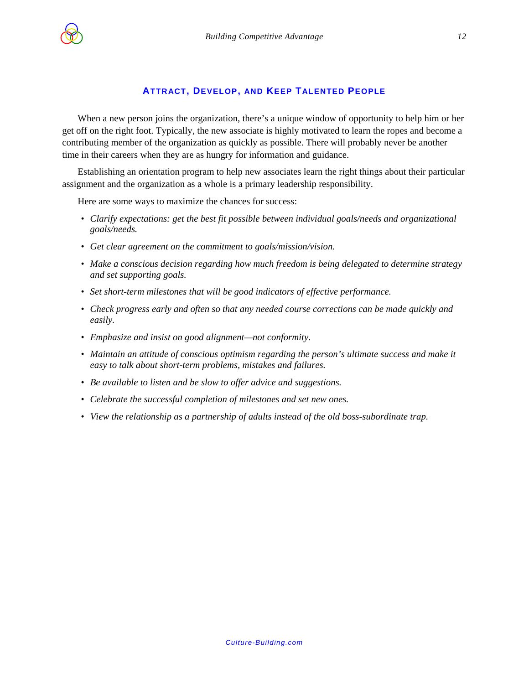<span id="page-13-0"></span>

#### **ATTRACT, DEVELOP, AND KEEP TALENTED PEOPLE**

When a new person joins the organization, there's a unique window of opportunity to help him or her get off on the right foot. Typically, the new associate is highly motivated to learn the ropes and become a contributing member of the organization as quickly as possible. There will probably never be another time in their careers when they are as hungry for information and guidance.

Establishing an orientation program to help new associates learn the right things about their particular assignment and the organization as a whole is a primary leadership responsibility.

Here are some ways to maximize the chances for success:

- Clarify expectations: get the best fit possible between individual goals/needs and organizational *goals/needs.*
- *Get clear agreement on the commitment to goals/mission/vision.*
- *Make a conscious decision regarding how much freedom is being delegated to determine strategy and set supporting goals.*
- *Set short-term milestones that will be good indicators of effective performance.*
- *Check progress early and often so that any needed course corrections can be made quickly and easily.*
- *Emphasize and insist on good alignment—not conformity.*
- *Maintain an attitude of conscious optimism regarding the person's ultimate success and make it easy to talk about short-term problems, mistakes and failures.*
- *Be available to listen and be slow to offer advice and suggestions.*
- *Celebrate the successful completion of milestones and set new ones.*
- *View the relationship as a partnership of adults instead of the old boss-subordinate trap.*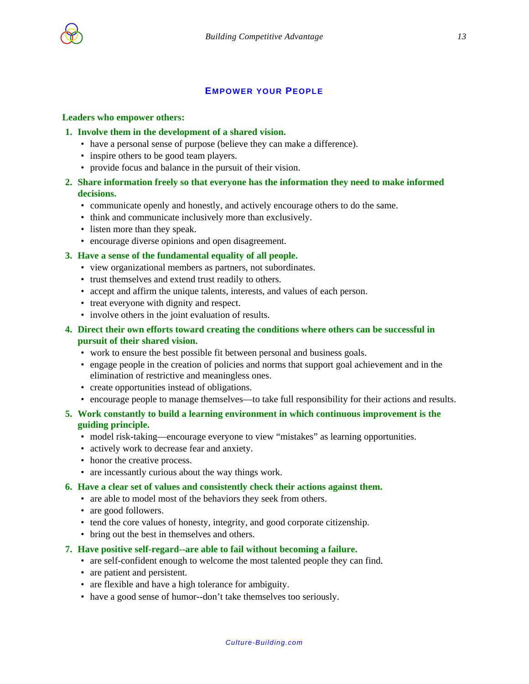<span id="page-14-0"></span>

#### **EMPOWER YOUR PEOPLE**

#### **Leaders who empower others:**

- **1. Involve them in the development of a shared vision.** 
	- have a personal sense of purpose (believe they can make a difference).
	- inspire others to be good team players.
	- provide focus and balance in the pursuit of their vision.
- **2. Share information freely so that everyone has the information they need to make informed decisions.** 
	- communicate openly and honestly, and actively encourage others to do the same.
	- think and communicate inclusively more than exclusively.
	- listen more than they speak.
	- encourage diverse opinions and open disagreement.

#### **3. Have a sense of the fundamental equality of all people.**

- view organizational members as partners, not subordinates.
- trust themselves and extend trust readily to others.
- accept and affirm the unique talents, interests, and values of each person.
- treat everyone with dignity and respect.
- involve others in the joint evaluation of results.
- **4. Direct their own efforts toward creating the conditions where others can be successful in pursuit of their shared vision.** 
	- work to ensure the best possible fit between personal and business goals.
	- engage people in the creation of policies and norms that support goal achievement and in the elimination of restrictive and meaningless ones.
	- create opportunities instead of obligations.
	- encourage people to manage themselves—to take full responsibility for their actions and results.
- **5. Work constantly to build a learning environment in which continuous improvement is the guiding principle.** 
	- model risk-taking—encourage everyone to view "mistakes" as learning opportunities.
	- actively work to decrease fear and anxiety.
	- honor the creative process.
	- are incessantly curious about the way things work.
- **6. Have a clear set of values and consistently check their actions against them.** 
	- are able to model most of the behaviors they seek from others.
	- are good followers.
	- tend the core values of honesty, integrity, and good corporate citizenship.
	- bring out the best in themselves and others.

#### **7. Have positive self-regard--are able to fail without becoming a failure.**

- are self-confident enough to welcome the most talented people they can find.
- are patient and persistent.
- are flexible and have a high tolerance for ambiguity.
- have a good sense of humor--don't take themselves too seriously.